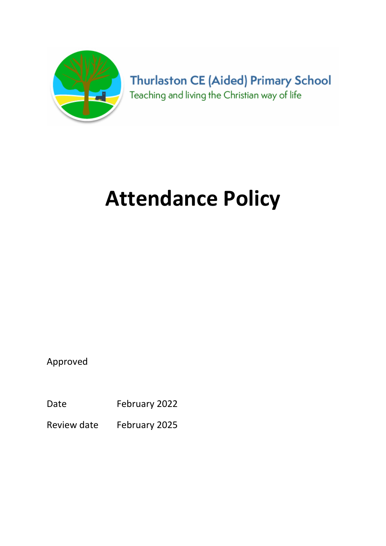

**Thurlaston CE (Aided) Primary School** Teaching and living the Christian way of life

# Attendance Policy

Approved

Date February 2022

Review date February 2025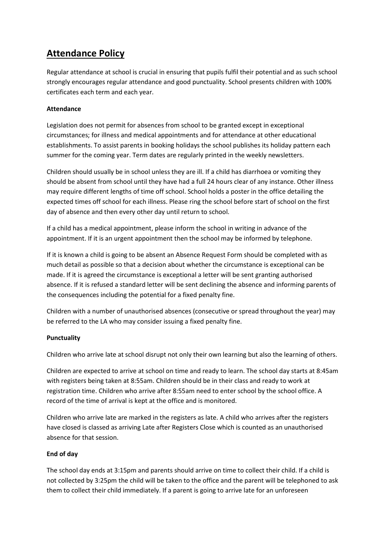# Attendance Policy

Regular attendance at school is crucial in ensuring that pupils fulfil their potential and as such school strongly encourages regular attendance and good punctuality. School presents children with 100% certificates each term and each year.

## Attendance

Legislation does not permit for absences from school to be granted except in exceptional circumstances; for illness and medical appointments and for attendance at other educational establishments. To assist parents in booking holidays the school publishes its holiday pattern each summer for the coming year. Term dates are regularly printed in the weekly newsletters.

Children should usually be in school unless they are ill. If a child has diarrhoea or vomiting they should be absent from school until they have had a full 24 hours clear of any instance. Other illness may require different lengths of time off school. School holds a poster in the office detailing the expected times off school for each illness. Please ring the school before start of school on the first day of absence and then every other day until return to school.

If a child has a medical appointment, please inform the school in writing in advance of the appointment. If it is an urgent appointment then the school may be informed by telephone.

If it is known a child is going to be absent an Absence Request Form should be completed with as much detail as possible so that a decision about whether the circumstance is exceptional can be made. If it is agreed the circumstance is exceptional a letter will be sent granting authorised absence. If it is refused a standard letter will be sent declining the absence and informing parents of the consequences including the potential for a fixed penalty fine.

Children with a number of unauthorised absences (consecutive or spread throughout the year) may be referred to the LA who may consider issuing a fixed penalty fine.

#### Punctuality

Children who arrive late at school disrupt not only their own learning but also the learning of others.

Children are expected to arrive at school on time and ready to learn. The school day starts at 8:45am with registers being taken at 8:55am. Children should be in their class and ready to work at registration time. Children who arrive after 8:55am need to enter school by the school office. A record of the time of arrival is kept at the office and is monitored.

Children who arrive late are marked in the registers as late. A child who arrives after the registers have closed is classed as arriving Late after Registers Close which is counted as an unauthorised absence for that session.

#### End of day

The school day ends at 3:15pm and parents should arrive on time to collect their child. If a child is not collected by 3:25pm the child will be taken to the office and the parent will be telephoned to ask them to collect their child immediately. If a parent is going to arrive late for an unforeseen